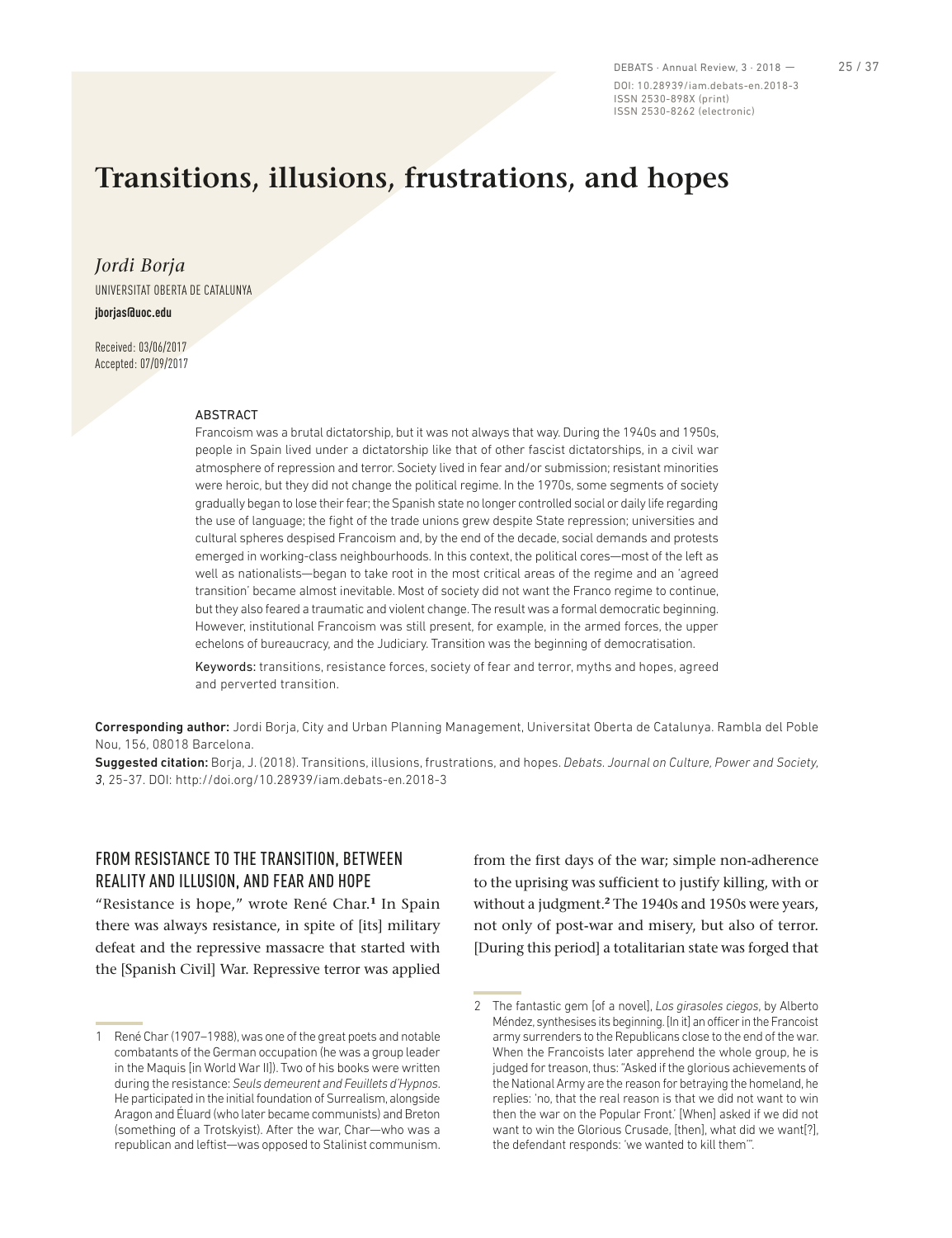DEBATS · Annual Review, 3 · 2018 - 25 / 37 DOI: 10.28939/iam.debats-en.2018-3 ISSN 2530-898X (print) ISSN 2530-8262 (electronic)

# **Transitions, illusions, frustrations, and hopes**

*Jordi Borja* UNIVERSITAT OBERTA DE CATALUNYA **jborjas@uoc.edu**

Received: 03/06/2017 Accepted: 07/09/2017

#### **ABSTRACT**

Francoism was a brutal dictatorship, but it was not always that way. During the 1940s and 1950s, people in Spain lived under a dictatorship like that of other fascist dictatorships, in a civil war atmosphere of repression and terror. Society lived in fear and/or submission; resistant minorities were heroic, but they did not change the political regime. In the 1970s, some segments of society gradually began to lose their fear; the Spanish state no longer controlled social or daily life regarding the use of language; the fight of the trade unions grew despite State repression; universities and cultural spheres despised Francoism and, by the end of the decade, social demands and protests emerged in working-class neighbourhoods. In this context, the political cores—most of the left as well as nationalists—began to take root in the most critical areas of the regime and an 'agreed transition' became almost inevitable. Most of society did not want the Franco regime to continue, but they also feared a traumatic and violent change. The result was a formal democratic beginning. However, institutional Francoism was still present, for example, in the armed forces, the upper echelons of bureaucracy, and the Judiciary. Transition was the beginning of democratisation.

Keywords: transitions, resistance forces, society of fear and terror, myths and hopes, agreed and perverted transition.

Corresponding author: Jordi Borja, City and Urban Planning Management, Universitat Oberta de Catalunya. Rambla del Poble Nou, 156, 08018 Barcelona.

Suggested citation: Borja, J. (2018). Transitions, illusions, frustrations, and hopes. *Debats. Journal on Culture, Power and Society, 3*, 25-37. DOI: http://doi.org/10.28939/iam.debats-en.2018-3

## FROM RESISTANCE TO THE TRANSITION, BETWEEN REALITY AND ILLUSION, AND FEAR AND HOPE

"Resistance is hope," wrote René Char.**<sup>1</sup>** In Spain there was always resistance, in spite of [its] military defeat and the repressive massacre that started with the [Spanish Civil] War. Repressive terror was applied

from the first days of the war; simple non-adherence to the uprising was sufficient to justify killing, with or without a judgment.**<sup>2</sup>** The 1940s and 1950s were years, not only of post-war and misery, but also of terror. [During this period] a totalitarian state was forged that

<sup>1</sup> René Char (1907–1988), was one of the great poets and notable combatants of the German occupation (he was a group leader in the Maquis [in World War II]). Two of his books were written during the resistance: *Seuls demeurent and Feuillets d'Hypnos*. He participated in the initial foundation of Surrealism, alongside Aragon and Éluard (who later became communists) and Breton (something of a Trotskyist). After the war, Char—who was a republican and leftist—was opposed to Stalinist communism.

<sup>2</sup> The fantastic gem [of a novel], *Los girasoles ciegos*, by Alberto Méndez, synthesises its beginning. [In it] an officer in the Francoist army surrenders to the Republicans close to the end of the war. When the Francoists later apprehend the whole group, he is judged for treason, thus: "Asked if the glorious achievements of the National Army are the reason for betraying the homeland, he replies: 'no, that the real reason is that we did not want to win then the war on the Popular Front.' [When] asked if we did not want to win the Glorious Crusade, [then], what did we want[?], the defendant responds: 'we wanted to kill them'".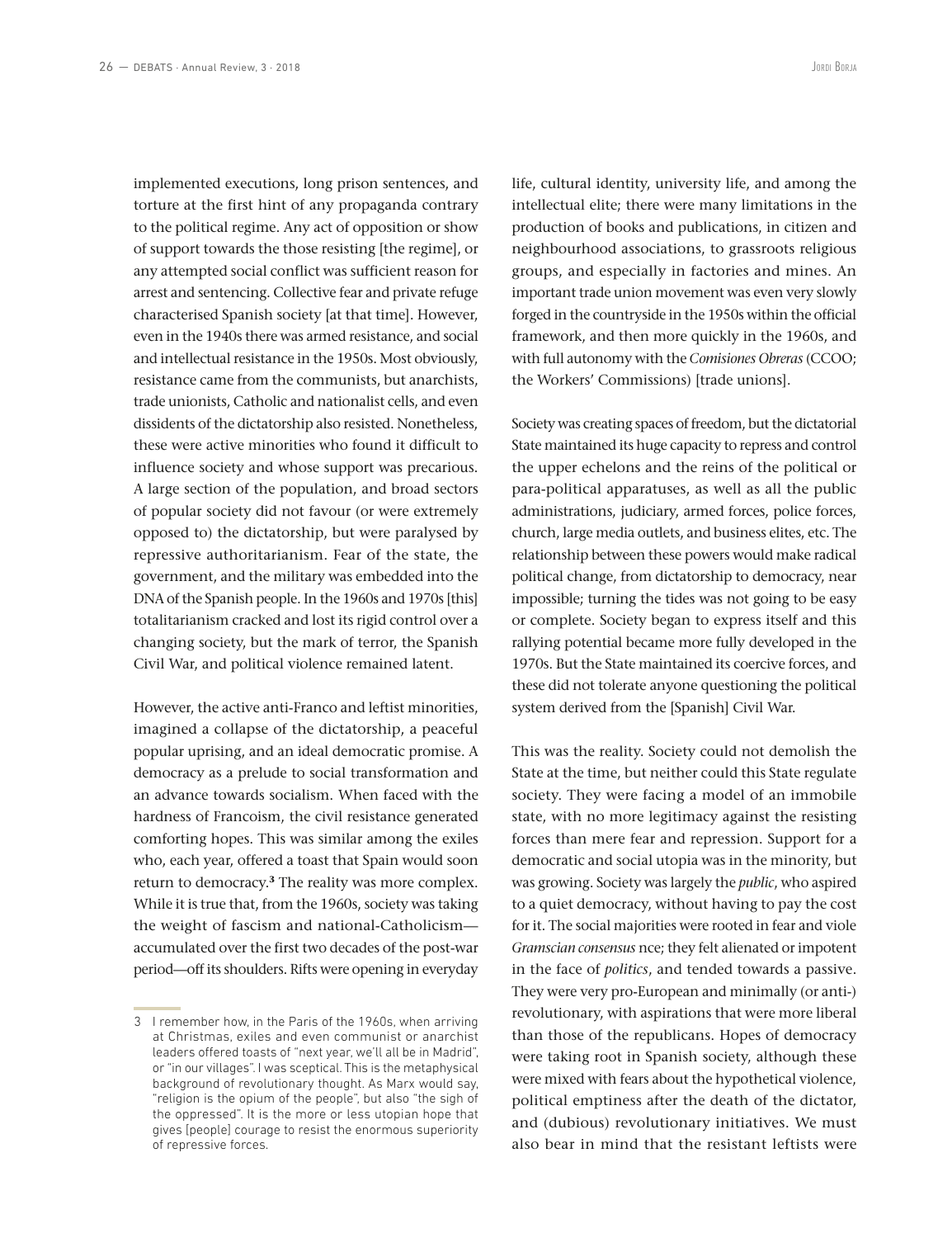implemented executions, long prison sentences, and torture at the first hint of any propaganda contrary to the political regime. Any act of opposition or show of support towards the those resisting [the regime], or any attempted social conflict was sufficient reason for arrest and sentencing. Collective fear and private refuge characterised Spanish society [at that time]. However, even in the 1940s there was armed resistance, and social and intellectual resistance in the 1950s. Most obviously, resistance came from the communists, but anarchists, trade unionists, Catholic and nationalist cells, and even dissidents of the dictatorship also resisted. Nonetheless, these were active minorities who found it difficult to influence society and whose support was precarious. A large section of the population, and broad sectors of popular society did not favour (or were extremely opposed to) the dictatorship, but were paralysed by repressive authoritarianism. Fear of the state, the government, and the military was embedded into the DNA of the Spanish people. In the 1960s and 1970s [this] totalitarianism cracked and lost its rigid control over a changing society, but the mark of terror, the Spanish Civil War, and political violence remained latent.

However, the active anti-Franco and leftist minorities, imagined a collapse of the dictatorship, a peaceful popular uprising, and an ideal democratic promise. A democracy as a prelude to social transformation and an advance towards socialism. When faced with the hardness of Francoism, the civil resistance generated comforting hopes. This was similar among the exiles who, each year, offered a toast that Spain would soon return to democracy.**<sup>3</sup>** The reality was more complex. While it is true that, from the 1960s, society was taking the weight of fascism and national-Catholicism accumulated over the first two decades of the post-war period—off its shoulders. Rifts were opening in everyday

life, cultural identity, university life, and among the intellectual elite; there were many limitations in the production of books and publications, in citizen and neighbourhood associations, to grassroots religious groups, and especially in factories and mines. An important trade union movement was even very slowly forged in the countryside in the 1950s within the official framework, and then more quickly in the 1960s, and with full autonomy with the *Comisiones Obreras* (CCOO; the Workers' Commissions) [trade unions].

Society was creating spaces of freedom, but the dictatorial State maintained its huge capacity to repress and control the upper echelons and the reins of the political or para-political apparatuses, as well as all the public administrations, judiciary, armed forces, police forces, church, large media outlets, and business elites, etc. The relationship between these powers would make radical political change, from dictatorship to democracy, near impossible; turning the tides was not going to be easy or complete. Society began to express itself and this rallying potential became more fully developed in the 1970s. But the State maintained its coercive forces, and these did not tolerate anyone questioning the political system derived from the [Spanish] Civil War.

This was the reality. Society could not demolish the State at the time, but neither could this State regulate society. They were facing a model of an immobile state, with no more legitimacy against the resisting forces than mere fear and repression. Support for a democratic and social utopia was in the minority, but was growing. Society was largely the *public*, who aspired to a quiet democracy, without having to pay the cost for it. The social majorities were rooted in fear and viole *Gramscian consensus* nce; they felt alienated or impotent in the face of *politics*, and tended towards a passive. They were very pro-European and minimally (or anti-) revolutionary, with aspirations that were more liberal than those of the republicans. Hopes of democracy were taking root in Spanish society, although these were mixed with fears about the hypothetical violence, political emptiness after the death of the dictator, and (dubious) revolutionary initiatives. We must also bear in mind that the resistant leftists were

<sup>3</sup> I remember how, in the Paris of the 1960s, when arriving at Christmas, exiles and even communist or anarchist leaders offered toasts of "next year, we'll all be in Madrid", or "in our villages". I was sceptical. This is the metaphysical background of revolutionary thought. As Marx would say, "religion is the opium of the people", but also "the sigh of the oppressed". It is the more or less utopian hope that gives [people] courage to resist the enormous superiority of repressive forces.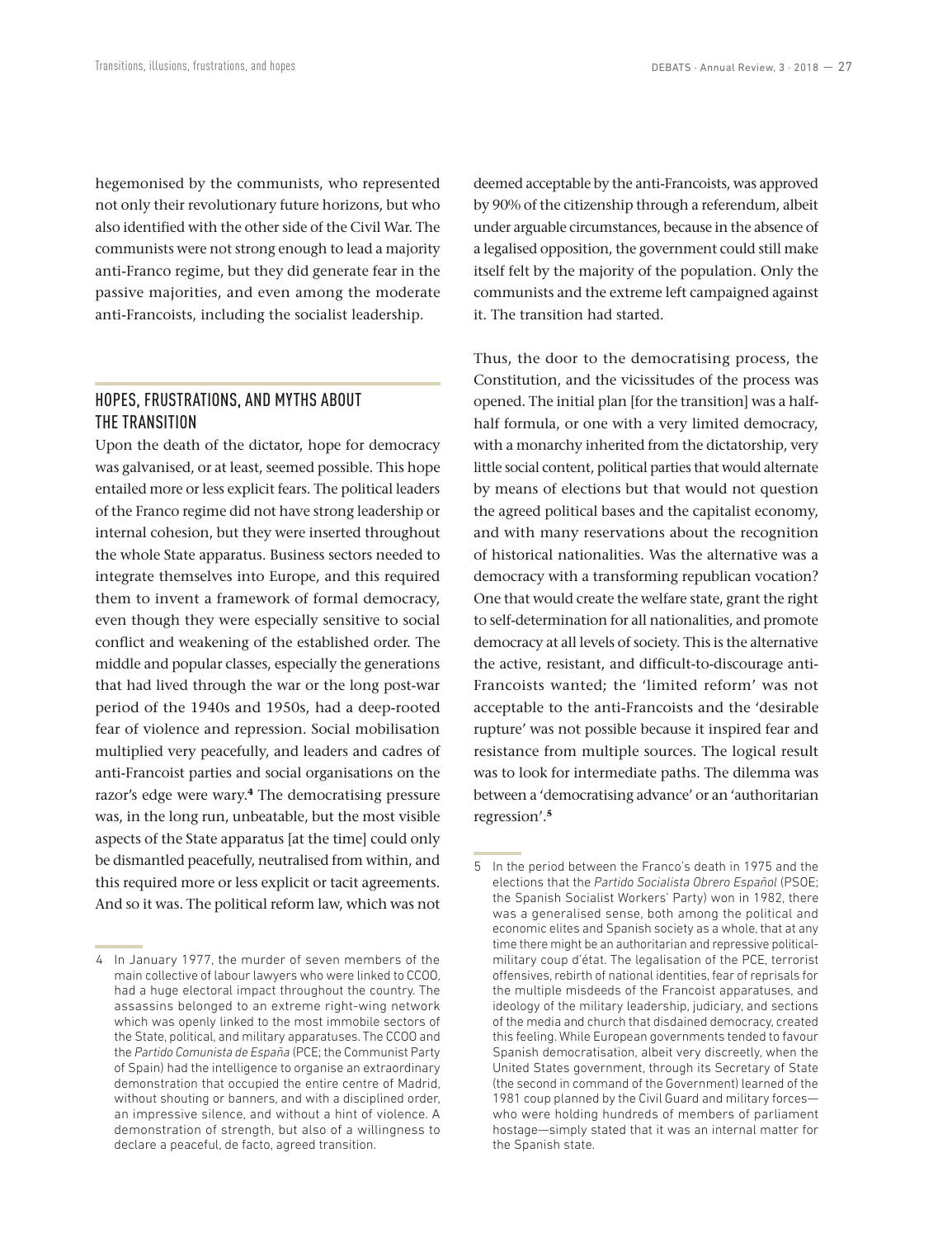hegemonised by the communists, who represented not only their revolutionary future horizons, but who also identified with the other side of the Civil War. The communists were not strong enough to lead a majority anti-Franco regime, but they did generate fear in the passive majorities, and even among the moderate anti-Francoists, including the socialist leadership.

### HOPES, FRUSTRATIONS, AND MYTHS ABOUT THE TRANSITION

Upon the death of the dictator, hope for democracy was galvanised, or at least, seemed possible. This hope entailed more or less explicit fears. The political leaders of the Franco regime did not have strong leadership or internal cohesion, but they were inserted throughout the whole State apparatus. Business sectors needed to integrate themselves into Europe, and this required them to invent a framework of formal democracy, even though they were especially sensitive to social conflict and weakening of the established order. The middle and popular classes, especially the generations that had lived through the war or the long post-war period of the 1940s and 1950s, had a deep-rooted fear of violence and repression. Social mobilisation multiplied very peacefully, and leaders and cadres of anti-Francoist parties and social organisations on the razor's edge were wary.**<sup>4</sup>** The democratising pressure was, in the long run, unbeatable, but the most visible aspects of the State apparatus [at the time] could only be dismantled peacefully, neutralised from within, and this required more or less explicit or tacit agreements. And so it was. The political reform law, which was not deemed acceptable by the anti-Francoists, was approved by 90% of the citizenship through a referendum, albeit under arguable circumstances, because in the absence of a legalised opposition, the government could still make itself felt by the majority of the population. Only the communists and the extreme left campaigned against it. The transition had started.

Thus, the door to the democratising process, the Constitution, and the vicissitudes of the process was opened. The initial plan [for the transition] was a halfhalf formula, or one with a very limited democracy, with a monarchy inherited from the dictatorship, very little social content, political parties that would alternate by means of elections but that would not question the agreed political bases and the capitalist economy, and with many reservations about the recognition of historical nationalities. Was the alternative was a democracy with a transforming republican vocation? One that would create the welfare state, grant the right to self-determination for all nationalities, and promote democracy at all levels of society. This is the alternative the active, resistant, and difficult-to-discourage anti-Francoists wanted; the 'limited reform' was not acceptable to the anti-Francoists and the 'desirable rupture' was not possible because it inspired fear and resistance from multiple sources. The logical result was to look for intermediate paths. The dilemma was between a 'democratising advance' or an 'authoritarian regression'.**<sup>5</sup>**

<sup>4</sup> In January 1977, the murder of seven members of the main collective of labour lawyers who were linked to CCOO, had a huge electoral impact throughout the country. The assassins belonged to an extreme right-wing network which was openly linked to the most immobile sectors of the State, political, and military apparatuses. The CCOO and the *Partido Comunista de España* (PCE; the Communist Party of Spain) had the intelligence to organise an extraordinary demonstration that occupied the entire centre of Madrid, without shouting or banners, and with a disciplined order, an impressive silence, and without a hint of violence. A demonstration of strength, but also of a willingness to declare a peaceful, de facto, agreed transition.

<sup>5</sup> In the period between the Franco's death in 1975 and the elections that the *Partido Socialista Obrero Español* (PSOE; the Spanish Socialist Workers' Party) won in 1982, there was a generalised sense, both among the political and economic elites and Spanish society as a whole, that at any time there might be an authoritarian and repressive politicalmilitary coup d'état. The legalisation of the PCE, terrorist offensives, rebirth of national identities, fear of reprisals for the multiple misdeeds of the Francoist apparatuses, and ideology of the military leadership, judiciary, and sections of the media and church that disdained democracy, created this feeling. While European governments tended to favour Spanish democratisation, albeit very discreetly, when the United States government, through its Secretary of State (the second in command of the Government) learned of the 1981 coup planned by the Civil Guard and military forces who were holding hundreds of members of parliament hostage—simply stated that it was an internal matter for the Spanish state.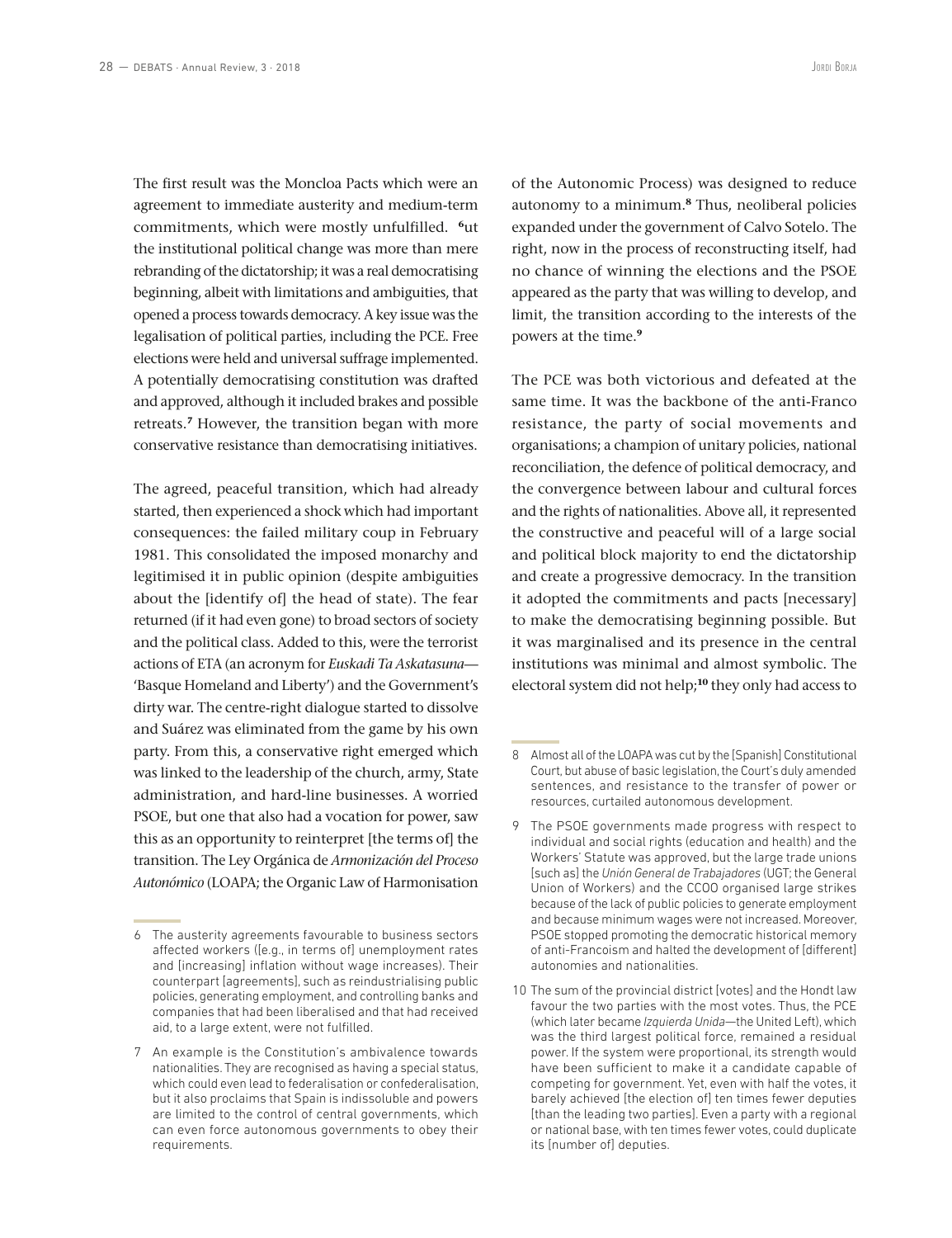The first result was the Moncloa Pacts which were an agreement to immediate austerity and medium-term commitments, which were mostly unfulfilled. **<sup>6</sup>**ut the institutional political change was more than mere rebranding of the dictatorship; it was a real democratising beginning, albeit with limitations and ambiguities, that opened a process towards democracy. A key issue was the legalisation of political parties, including the PCE. Free elections were held and universal suffrage implemented. A potentially democratising constitution was drafted and approved, although it included brakes and possible retreats.**<sup>7</sup>** However, the transition began with more conservative resistance than democratising initiatives.

The agreed, peaceful transition, which had already started, then experienced a shock which had important consequences: the failed military coup in February 1981. This consolidated the imposed monarchy and legitimised it in public opinion (despite ambiguities about the [identify of] the head of state). The fear returned (if it had even gone) to broad sectors of society and the political class. Added to this, were the terrorist actions of ETA (an acronym for *Euskadi Ta Askatasuna*— 'Basque Homeland and Liberty') and the Government's dirty war. The centre-right dialogue started to dissolve and Suárez was eliminated from the game by his own party. From this, a conservative right emerged which was linked to the leadership of the church, army, State administration, and hard-line businesses. A worried PSOE, but one that also had a vocation for power, saw this as an opportunity to reinterpret [the terms of] the transition. The Ley Orgánica de *Armonización del Proceso Autonómico* (LOAPA; the Organic Law of Harmonisation of the Autonomic Process) was designed to reduce autonomy to a minimum.**<sup>8</sup>** Thus, neoliberal policies expanded under the government of Calvo Sotelo. The right, now in the process of reconstructing itself, had no chance of winning the elections and the PSOE appeared as the party that was willing to develop, and limit, the transition according to the interests of the powers at the time.**<sup>9</sup>**

The PCE was both victorious and defeated at the same time. It was the backbone of the anti-Franco resistance, the party of social movements and organisations; a champion of unitary policies, national reconciliation, the defence of political democracy, and the convergence between labour and cultural forces and the rights of nationalities. Above all, it represented the constructive and peaceful will of a large social and political block majority to end the dictatorship and create a progressive democracy. In the transition it adopted the commitments and pacts [necessary] to make the democratising beginning possible. But it was marginalised and its presence in the central institutions was minimal and almost symbolic. The electoral system did not help;**<sup>10</sup>** they only had access to

<sup>6</sup> The austerity agreements favourable to business sectors affected workers ([e.g., in terms of] unemployment rates and [increasing] inflation without wage increases). Their counterpart [agreements], such as reindustrialising public policies, generating employment, and controlling banks and companies that had been liberalised and that had received aid, to a large extent, were not fulfilled.

<sup>7</sup> An example is the Constitution's ambivalence towards nationalities. They are recognised as having a special status, which could even lead to federalisation or confederalisation, but it also proclaims that Spain is indissoluble and powers are limited to the control of central governments, which can even force autonomous governments to obey their requirements.

<sup>8</sup> Almost all of the LOAPA was cut by the [Spanish] Constitutional Court, but abuse of basic legislation, the Court's duly amended sentences, and resistance to the transfer of power or resources, curtailed autonomous development.

<sup>9</sup> The PSOE governments made progress with respect to individual and social rights (education and health) and the Workers' Statute was approved, but the large trade unions [such as] the *Unión General de Trabajadores* (UGT; the General Union of Workers) and the CCOO organised large strikes because of the lack of public policies to generate employment and because minimum wages were not increased. Moreover, PSOE stopped promoting the democratic historical memory of anti-Francoism and halted the development of [different] autonomies and nationalities.

<sup>10</sup> The sum of the provincial district [votes] and the Hondt law favour the two parties with the most votes. Thus, the PCE (which later became *Izquierda Unida*—the United Left), which was the third largest political force, remained a residual power. If the system were proportional, its strength would have been sufficient to make it a candidate capable of competing for government. Yet, even with half the votes, it barely achieved [the election of] ten times fewer deputies [than the leading two parties]. Even a party with a regional or national base, with ten times fewer votes, could duplicate its [number of] deputies.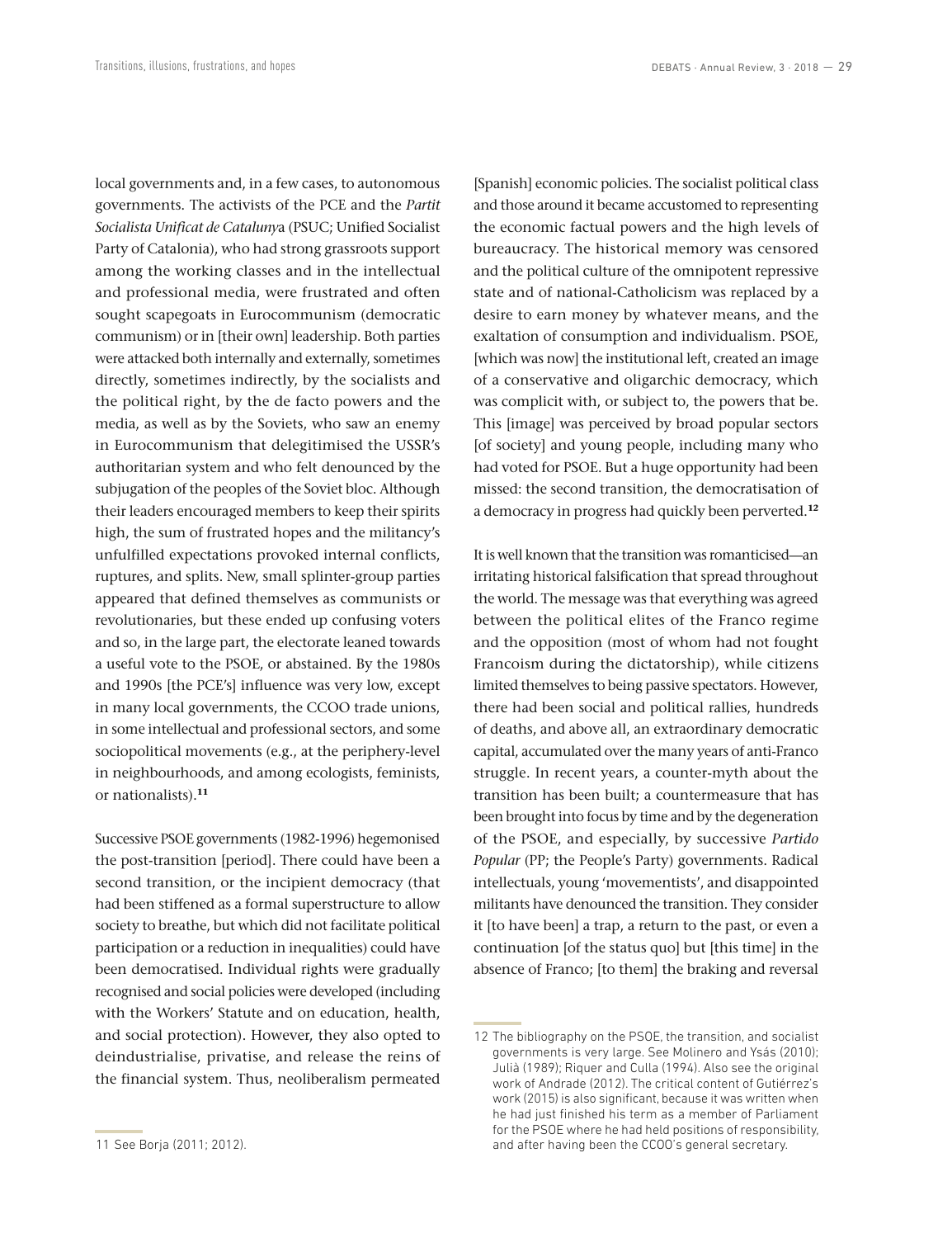local governments and, in a few cases, to autonomous governments. The activists of the PCE and the *Partit Socialista Unificat de Cataluny*a (PSUC; Unified Socialist Party of Catalonia), who had strong grassroots support among the working classes and in the intellectual and professional media, were frustrated and often sought scapegoats in Eurocommunism (democratic communism) or in [their own] leadership. Both parties were attacked both internally and externally, sometimes directly, sometimes indirectly, by the socialists and the political right, by the de facto powers and the media, as well as by the Soviets, who saw an enemy in Eurocommunism that delegitimised the USSR's authoritarian system and who felt denounced by the subjugation of the peoples of the Soviet bloc. Although their leaders encouraged members to keep their spirits high, the sum of frustrated hopes and the militancy's unfulfilled expectations provoked internal conflicts, ruptures, and splits. New, small splinter-group parties appeared that defined themselves as communists or revolutionaries, but these ended up confusing voters and so, in the large part, the electorate leaned towards a useful vote to the PSOE, or abstained. By the 1980s and 1990s [the PCE's] influence was very low, except in many local governments, the CCOO trade unions, in some intellectual and professional sectors, and some sociopolitical movements (e.g., at the periphery-level in neighbourhoods, and among ecologists, feminists, or nationalists).**<sup>11</sup>**

Successive PSOE governments (1982-1996) hegemonised the post-transition [period]. There could have been a second transition, or the incipient democracy (that had been stiffened as a formal superstructure to allow society to breathe, but which did not facilitate political participation or a reduction in inequalities) could have been democratised. Individual rights were gradually recognised and social policies were developed (including with the Workers' Statute and on education, health, and social protection). However, they also opted to deindustrialise, privatise, and release the reins of the financial system. Thus, neoliberalism permeated

[Spanish] economic policies. The socialist political class and those around it became accustomed to representing the economic factual powers and the high levels of bureaucracy. The historical memory was censored and the political culture of the omnipotent repressive state and of national-Catholicism was replaced by a desire to earn money by whatever means, and the exaltation of consumption and individualism. PSOE, [which was now] the institutional left, created an image of a conservative and oligarchic democracy, which was complicit with, or subject to, the powers that be. This [image] was perceived by broad popular sectors [of society] and young people, including many who had voted for PSOE. But a huge opportunity had been missed: the second transition, the democratisation of a democracy in progress had quickly been perverted.**<sup>12</sup>**

It is well known that the transition was romanticised—an irritating historical falsification that spread throughout the world. The message was that everything was agreed between the political elites of the Franco regime and the opposition (most of whom had not fought Francoism during the dictatorship), while citizens limited themselves to being passive spectators. However, there had been social and political rallies, hundreds of deaths, and above all, an extraordinary democratic capital, accumulated over the many years of anti-Franco struggle. In recent years, a counter-myth about the transition has been built; a countermeasure that has been brought into focus by time and by the degeneration of the PSOE, and especially, by successive *Partido Popular* (PP; the People's Party) governments. Radical intellectuals, young 'movementists', and disappointed militants have denounced the transition. They consider it [to have been] a trap, a return to the past, or even a continuation [of the status quo] but [this time] in the absence of Franco; [to them] the braking and reversal

<sup>12</sup> The bibliography on the PSOE, the transition, and socialist governments is very large. See Molinero and Ysás (2010); Julià (1989); Riquer and Culla (1994). Also see the original work of Andrade (2012). The critical content of Gutiérrez's work (2015) is also significant, because it was written when he had just finished his term as a member of Parliament for the PSOE where he had held positions of responsibility, and after having been the CCOO's general secretary.

<sup>11</sup> See Borja (2011; 2012).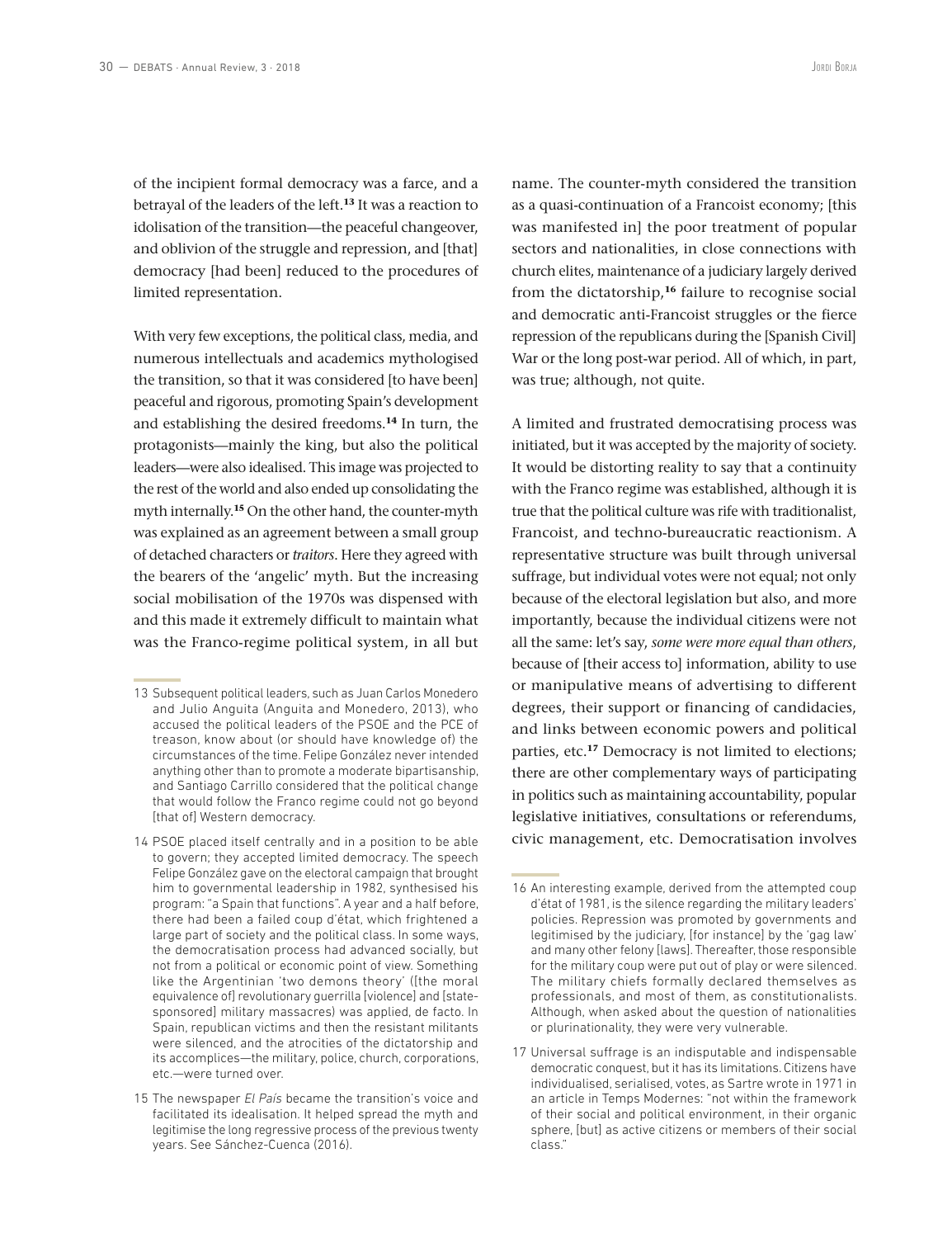of the incipient formal democracy was a farce, and a betrayal of the leaders of the left.**<sup>13</sup>** It was a reaction to idolisation of the transition—the peaceful changeover, and oblivion of the struggle and repression, and [that] democracy [had been] reduced to the procedures of limited representation.

With very few exceptions, the political class, media, and numerous intellectuals and academics mythologised the transition, so that it was considered [to have been] peaceful and rigorous, promoting Spain's development and establishing the desired freedoms.**<sup>14</sup>** In turn, the protagonists—mainly the king, but also the political leaders—were also idealised. This image was projected to the rest of the world and also ended up consolidating the myth internally.**<sup>15</sup>** On the other hand, the counter-myth was explained as an agreement between a small group of detached characters or *traitors*. Here they agreed with the bearers of the 'angelic' myth. But the increasing social mobilisation of the 1970s was dispensed with and this made it extremely difficult to maintain what was the Franco-regime political system, in all but

14 PSOE placed itself centrally and in a position to be able to govern; they accepted limited democracy. The speech Felipe González gave on the electoral campaign that brought him to governmental leadership in 1982, synthesised his program: "a Spain that functions". A year and a half before, there had been a failed coup d'état, which frightened a large part of society and the political class. In some ways, the democratisation process had advanced socially, but not from a political or economic point of view. Something like the Argentinian 'two demons theory' ([the moral equivalence of] revolutionary guerrilla [violence] and [statesponsored] military massacres) was applied, de facto. In Spain, republican victims and then the resistant militants were silenced, and the atrocities of the dictatorship and its accomplices—the military, police, church, corporations, etc.—were turned over.

name. The counter-myth considered the transition as a quasi-continuation of a Francoist economy; [this was manifested in] the poor treatment of popular sectors and nationalities, in close connections with church elites, maintenance of a judiciary largely derived from the dictatorship,**<sup>16</sup>** failure to recognise social and democratic anti-Francoist struggles or the fierce repression of the republicans during the [Spanish Civil] War or the long post-war period. All of which, in part, was true; although, not quite.

A limited and frustrated democratising process was initiated, but it was accepted by the majority of society. It would be distorting reality to say that a continuity with the Franco regime was established, although it is true that the political culture was rife with traditionalist, Francoist, and techno-bureaucratic reactionism. A representative structure was built through universal suffrage, but individual votes were not equal; not only because of the electoral legislation but also, and more importantly, because the individual citizens were not all the same: let's say, *some were more equal than others*, because of [their access to] information, ability to use or manipulative means of advertising to different degrees, their support or financing of candidacies, and links between economic powers and political parties, etc.**<sup>17</sup>** Democracy is not limited to elections; there are other complementary ways of participating in politics such as maintaining accountability, popular legislative initiatives, consultations or referendums, civic management, etc. Democratisation involves

<sup>13</sup> Subsequent political leaders, such as Juan Carlos Monedero and Julio Anguita (Anguita and Monedero, 2013), who accused the political leaders of the PSOE and the PCE of treason, know about (or should have knowledge of) the circumstances of the time. Felipe González never intended anything other than to promote a moderate bipartisanship, and Santiago Carrillo considered that the political change that would follow the Franco regime could not go beyond [that of] Western democracy.

<sup>15</sup> The newspaper *El País* became the transition's voice and facilitated its idealisation. It helped spread the myth and legitimise the long regressive process of the previous twenty years. See Sánchez-Cuenca (2016).

<sup>16</sup> An interesting example, derived from the attempted coup d'état of 1981, is the silence regarding the military leaders' policies. Repression was promoted by governments and legitimised by the judiciary, [for instance] by the 'gag law' and many other felony [laws]. Thereafter, those responsible for the military coup were put out of play or were silenced. The military chiefs formally declared themselves as professionals, and most of them, as constitutionalists. Although, when asked about the question of nationalities or plurinationality, they were very vulnerable.

<sup>17</sup> Universal suffrage is an indisputable and indispensable democratic conquest, but it has its limitations. Citizens have individualised, serialised, votes, as Sartre wrote in 1971 in an article in Temps Modernes: "not within the framework of their social and political environment, in their organic sphere, [but] as active citizens or members of their social class."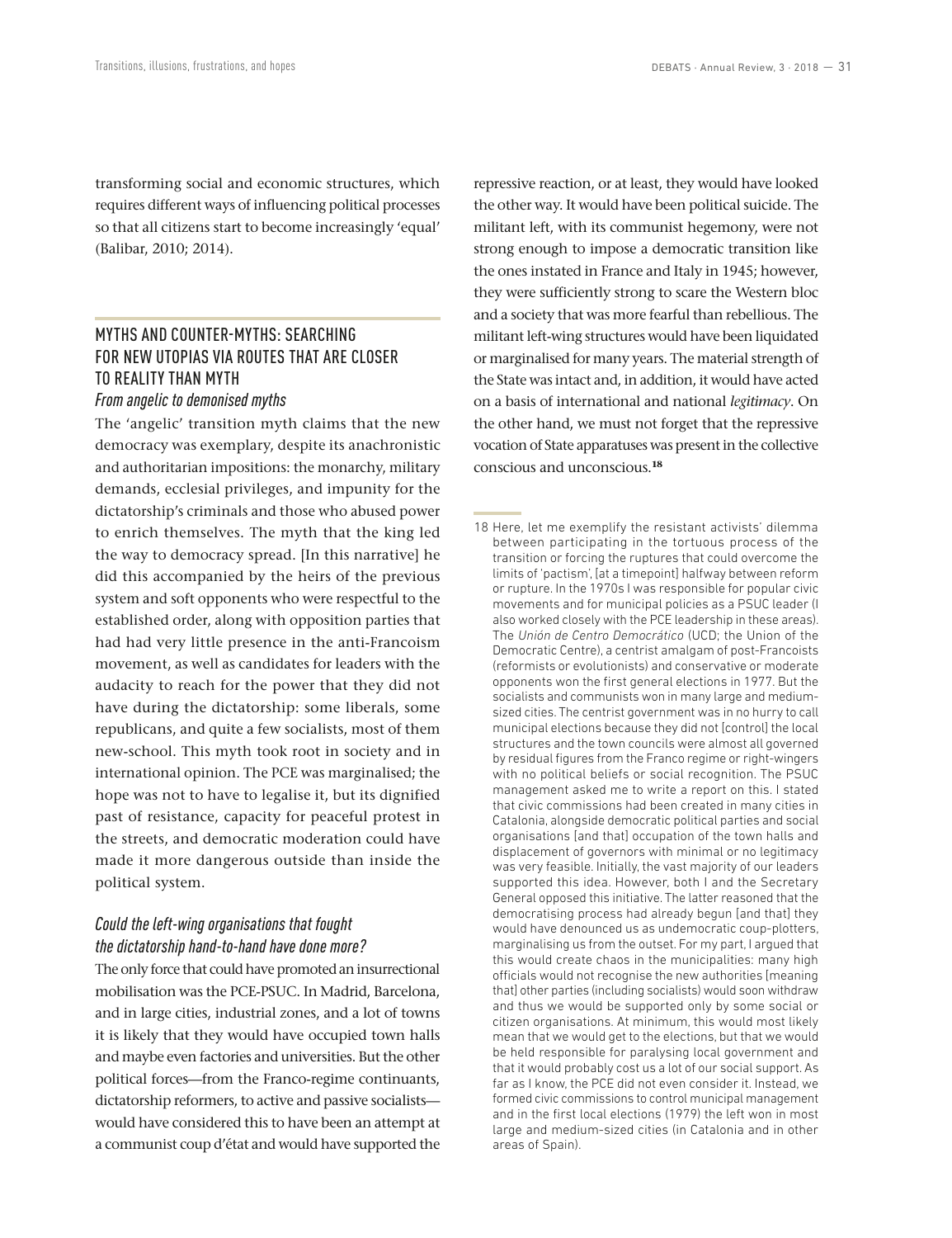transforming social and economic structures, which requires different ways of influencing political processes so that all citizens start to become increasingly 'equal' (Balibar, 2010; 2014).

## MYTHS AND COUNTER-MYTHS: SEARCHING FOR NEW UTOPIAS VIA ROUTES THAT ARE CLOSER TO REALITY THAN MYTH

#### *From angelic to demonised myths*

The 'angelic' transition myth claims that the new democracy was exemplary, despite its anachronistic and authoritarian impositions: the monarchy, military demands, ecclesial privileges, and impunity for the dictatorship's criminals and those who abused power to enrich themselves. The myth that the king led the way to democracy spread. [In this narrative] he did this accompanied by the heirs of the previous system and soft opponents who were respectful to the established order, along with opposition parties that had had very little presence in the anti-Francoism movement, as well as candidates for leaders with the audacity to reach for the power that they did not have during the dictatorship: some liberals, some republicans, and quite a few socialists, most of them new-school. This myth took root in society and in international opinion. The PCE was marginalised; the hope was not to have to legalise it, but its dignified past of resistance, capacity for peaceful protest in the streets, and democratic moderation could have made it more dangerous outside than inside the political system.

## *Could the left-wing organisations that fought the dictatorship hand-to-hand have done more?*

The only force that could have promoted an insurrectional mobilisation was the PCE-PSUC. In Madrid, Barcelona, and in large cities, industrial zones, and a lot of towns it is likely that they would have occupied town halls and maybe even factories and universities. But the other political forces—from the Franco-regime continuants, dictatorship reformers, to active and passive socialists would have considered this to have been an attempt at a communist coup d'état and would have supported the repressive reaction, or at least, they would have looked the other way. It would have been political suicide. The militant left, with its communist hegemony, were not strong enough to impose a democratic transition like the ones instated in France and Italy in 1945; however, they were sufficiently strong to scare the Western bloc and a society that was more fearful than rebellious. The militant left-wing structures would have been liquidated or marginalised for many years. The material strength of the State was intact and, in addition, it would have acted on a basis of international and national *legitimacy*. On the other hand, we must not forget that the repressive vocation of State apparatuses was present in the collective conscious and unconscious.**<sup>18</sup>**

<sup>18</sup> Here, let me exemplify the resistant activists' dilemma between participating in the tortuous process of the transition or forcing the ruptures that could overcome the limits of 'pactism', [at a timepoint] halfway between reform or rupture. In the 1970s I was responsible for popular civic movements and for municipal policies as a PSUC leader (I also worked closely with the PCE leadership in these areas). The *Unión de Centro Democrático* (UCD; the Union of the Democratic Centre), a centrist amalgam of post-Francoists (reformists or evolutionists) and conservative or moderate opponents won the first general elections in 1977. But the socialists and communists won in many large and mediumsized cities. The centrist government was in no hurry to call municipal elections because they did not [control] the local structures and the town councils were almost all governed by residual figures from the Franco regime or right-wingers with no political beliefs or social recognition. The PSUC management asked me to write a report on this. I stated that civic commissions had been created in many cities in Catalonia, alongside democratic political parties and social organisations [and that] occupation of the town halls and displacement of governors with minimal or no legitimacy was very feasible. Initially, the vast majority of our leaders supported this idea. However, both I and the Secretary General opposed this initiative. The latter reasoned that the democratising process had already begun [and that] they would have denounced us as undemocratic coup-plotters, marginalising us from the outset. For my part, I argued that this would create chaos in the municipalities: many high officials would not recognise the new authorities [meaning that] other parties (including socialists) would soon withdraw and thus we would be supported only by some social or citizen organisations. At minimum, this would most likely mean that we would get to the elections, but that we would be held responsible for paralysing local government and that it would probably cost us a lot of our social support. As far as I know, the PCE did not even consider it. Instead, we formed civic commissions to control municipal management and in the first local elections (1979) the left won in most large and medium-sized cities (in Catalonia and in other areas of Spain).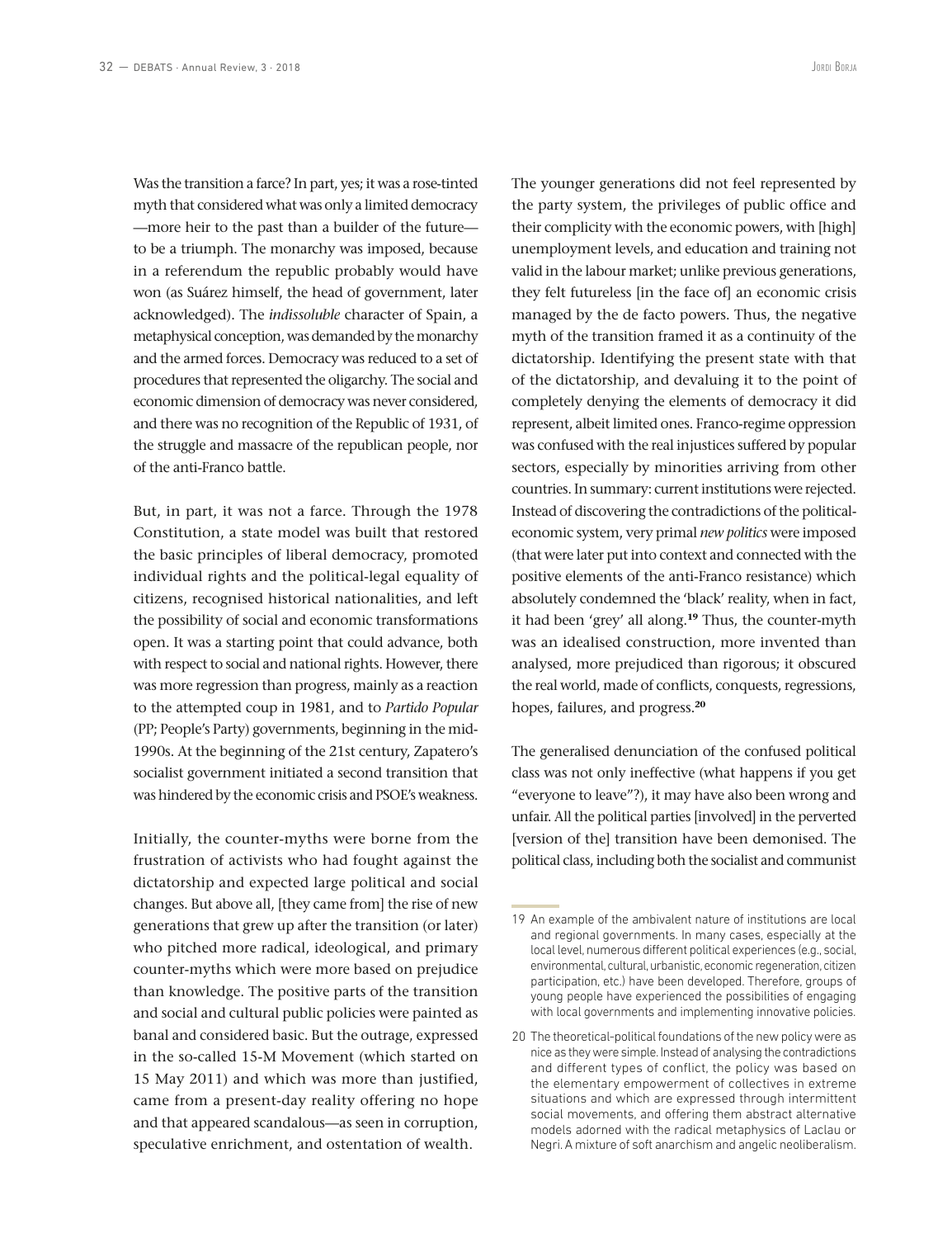Was the transition a farce? In part, yes; it was a rose-tinted myth that considered what was only a limited democracy —more heir to the past than a builder of the future to be a triumph. The monarchy was imposed, because in a referendum the republic probably would have won (as Suárez himself, the head of government, later acknowledged). The *indissoluble* character of Spain, a metaphysical conception, was demanded by the monarchy and the armed forces. Democracy was reduced to a set of procedures that represented the oligarchy. The social and economic dimension of democracy was never considered, and there was no recognition of the Republic of 1931, of the struggle and massacre of the republican people, nor of the anti-Franco battle.

But, in part, it was not a farce. Through the 1978 Constitution, a state model was built that restored the basic principles of liberal democracy, promoted individual rights and the political-legal equality of citizens, recognised historical nationalities, and left the possibility of social and economic transformations open. It was a starting point that could advance, both with respect to social and national rights. However, there was more regression than progress, mainly as a reaction to the attempted coup in 1981, and to *Partido Popular* (PP; People's Party) governments, beginning in the mid-1990s. At the beginning of the 21st century, Zapatero's socialist government initiated a second transition that was hindered by the economic crisis and PSOE's weakness.

Initially, the counter-myths were borne from the frustration of activists who had fought against the dictatorship and expected large political and social changes. But above all, [they came from] the rise of new generations that grew up after the transition (or later) who pitched more radical, ideological, and primary counter-myths which were more based on prejudice than knowledge. The positive parts of the transition and social and cultural public policies were painted as banal and considered basic. But the outrage, expressed in the so-called 15-M Movement (which started on 15 May 2011) and which was more than justified, came from a present-day reality offering no hope and that appeared scandalous—as seen in corruption, speculative enrichment, and ostentation of wealth.

The younger generations did not feel represented by the party system, the privileges of public office and their complicity with the economic powers, with [high] unemployment levels, and education and training not valid in the labour market; unlike previous generations, they felt futureless [in the face of] an economic crisis managed by the de facto powers. Thus, the negative myth of the transition framed it as a continuity of the dictatorship. Identifying the present state with that of the dictatorship, and devaluing it to the point of completely denying the elements of democracy it did represent, albeit limited ones. Franco-regime oppression was confused with the real injustices suffered by popular sectors, especially by minorities arriving from other countries. In summary: current institutions were rejected. Instead of discovering the contradictions of the politicaleconomic system, very primal *new politics* were imposed (that were later put into context and connected with the positive elements of the anti-Franco resistance) which absolutely condemned the 'black' reality, when in fact, it had been 'grey' all along.**<sup>19</sup>** Thus, the counter-myth was an idealised construction, more invented than analysed, more prejudiced than rigorous; it obscured the real world, made of conflicts, conquests, regressions, hopes, failures, and progress.**<sup>20</sup>**

The generalised denunciation of the confused political class was not only ineffective (what happens if you get "everyone to leave"?), it may have also been wrong and unfair. All the political parties [involved] in the perverted [version of the] transition have been demonised. The political class, including both the socialist and communist

<sup>19</sup> An example of the ambivalent nature of institutions are local and regional governments. In many cases, especially at the local level, numerous different political experiences (e.g., social, environmental, cultural, urbanistic, economic regeneration, citizen participation, etc.) have been developed. Therefore, groups of young people have experienced the possibilities of engaging with local governments and implementing innovative policies.

<sup>20</sup> The theoretical-political foundations of the new policy were as nice as they were simple. Instead of analysing the contradictions and different types of conflict, the policy was based on the elementary empowerment of collectives in extreme situations and which are expressed through intermittent social movements, and offering them abstract alternative models adorned with the radical metaphysics of Laclau or Negri. A mixture of soft anarchism and angelic neoliberalism.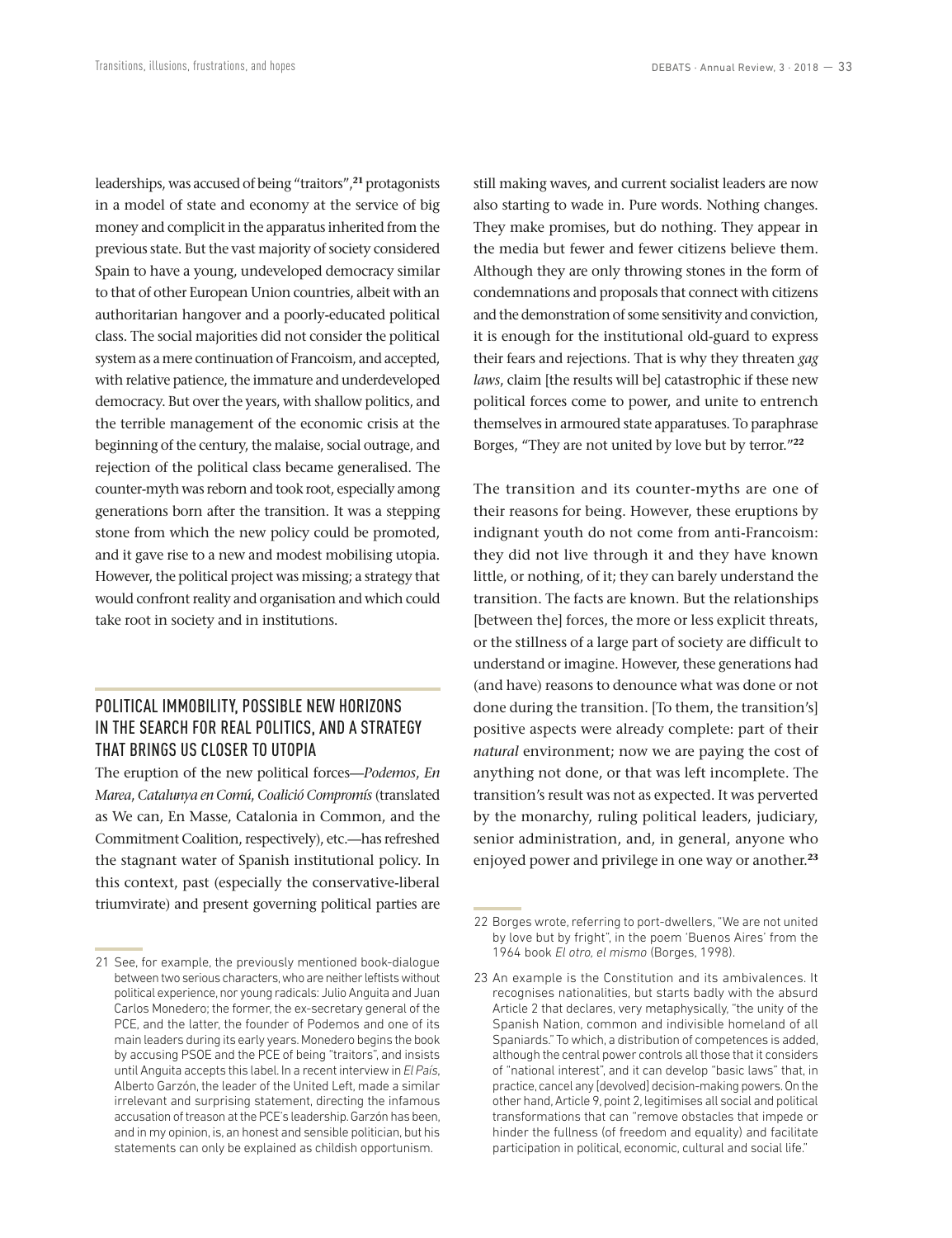leaderships, was accused of being "traitors",**<sup>21</sup>** protagonists in a model of state and economy at the service of big money and complicit in the apparatus inherited from the previous state. But the vast majority of society considered Spain to have a young, undeveloped democracy similar to that of other European Union countries, albeit with an authoritarian hangover and a poorly-educated political class. The social majorities did not consider the political system as a mere continuation of Francoism, and accepted, with relative patience, the immature and underdeveloped democracy. But over the years, with shallow politics, and the terrible management of the economic crisis at the beginning of the century, the malaise, social outrage, and rejection of the political class became generalised. The counter-myth was reborn and took root, especially among generations born after the transition. It was a stepping stone from which the new policy could be promoted, and it gave rise to a new and modest mobilising utopia. However, the political project was missing; a strategy that would confront reality and organisation and which could take root in society and in institutions.

## POLITICAL IMMOBILITY, POSSIBLE NEW HORIZONS IN THE SEARCH FOR REAL POLITICS, AND A STRATEGY THAT BRINGS US CLOSER TO UTOPIA

The eruption of the new political forces—*Podemos*, *En Marea*, *Catalunya en Comú*, *Coalició Compromís* (translated as We can, En Masse, Catalonia in Common, and the Commitment Coalition, respectively), etc.—has refreshed the stagnant water of Spanish institutional policy. In this context, past (especially the conservative-liberal triumvirate) and present governing political parties are still making waves, and current socialist leaders are now also starting to wade in. Pure words. Nothing changes. They make promises, but do nothing. They appear in the media but fewer and fewer citizens believe them. Although they are only throwing stones in the form of condemnations and proposals that connect with citizens and the demonstration of some sensitivity and conviction, it is enough for the institutional old-guard to express their fears and rejections. That is why they threaten *gag laws*, claim [the results will be] catastrophic if these new political forces come to power, and unite to entrench themselves in armoured state apparatuses. To paraphrase Borges, "They are not united by love but by terror."**<sup>22</sup>**

The transition and its counter-myths are one of their reasons for being. However, these eruptions by indignant youth do not come from anti-Francoism: they did not live through it and they have known little, or nothing, of it; they can barely understand the transition. The facts are known. But the relationships [between the] forces, the more or less explicit threats, or the stillness of a large part of society are difficult to understand or imagine. However, these generations had (and have) reasons to denounce what was done or not done during the transition. [To them, the transition's] positive aspects were already complete: part of their *natural* environment; now we are paying the cost of anything not done, or that was left incomplete. The transition's result was not as expected. It was perverted by the monarchy, ruling political leaders, judiciary, senior administration, and, in general, anyone who enjoyed power and privilege in one way or another.**<sup>23</sup>**

<sup>21</sup> See, for example, the previously mentioned book-dialogue between two serious characters, who are neither leftists without political experience, nor young radicals: Julio Anguita and Juan Carlos Monedero; the former, the ex-secretary general of the PCE, and the latter, the founder of Podemos and one of its main leaders during its early years. Monedero begins the book by accusing PSOE and the PCE of being "traitors", and insists until Anguita accepts this label. In a recent interview in *El País*, Alberto Garzón, the leader of the United Left, made a similar irrelevant and surprising statement, directing the infamous accusation of treason at the PCE's leadership. Garzón has been, and in my opinion, is, an honest and sensible politician, but his statements can only be explained as childish opportunism.

<sup>22</sup> Borges wrote, referring to port-dwellers, "We are not united by love but by fright", in the poem 'Buenos Aires' from the 1964 book *El otro, el mismo* (Borges, 1998).

<sup>23</sup> An example is the Constitution and its ambivalences. It recognises nationalities, but starts badly with the absurd Article 2 that declares, very metaphysically, "the unity of the Spanish Nation, common and indivisible homeland of all Spaniards." To which, a distribution of competences is added, although the central power controls all those that it considers of "national interest", and it can develop "basic laws" that, in practice, cancel any [devolved] decision-making powers. On the other hand, Article 9, point 2, legitimises all social and political transformations that can "remove obstacles that impede or hinder the fullness (of freedom and equality) and facilitate participation in political, economic, cultural and social life."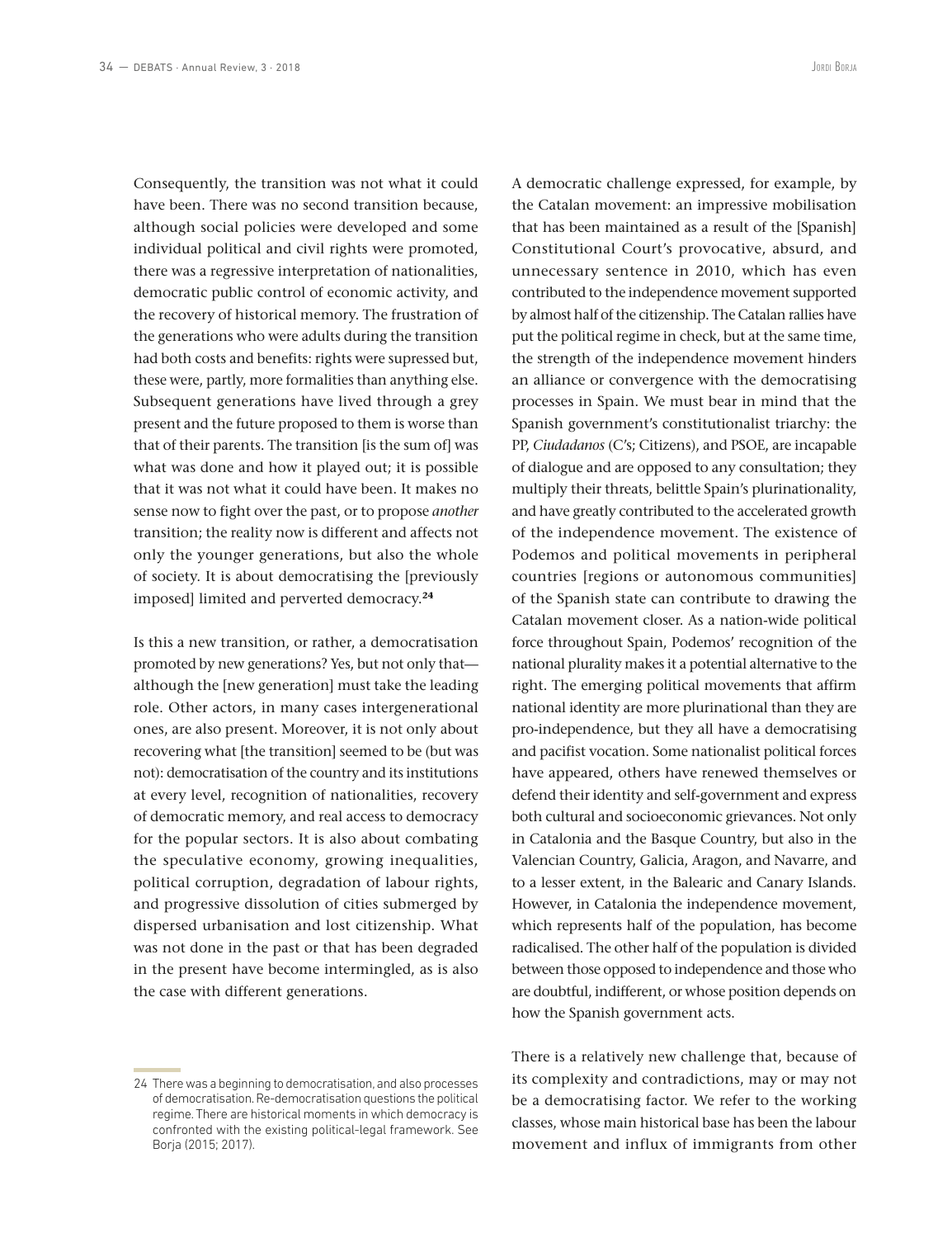Consequently, the transition was not what it could have been. There was no second transition because, although social policies were developed and some individual political and civil rights were promoted, there was a regressive interpretation of nationalities, democratic public control of economic activity, and the recovery of historical memory. The frustration of the generations who were adults during the transition had both costs and benefits: rights were supressed but, these were, partly, more formalities than anything else. Subsequent generations have lived through a grey present and the future proposed to them is worse than that of their parents. The transition [is the sum of] was what was done and how it played out; it is possible that it was not what it could have been. It makes no sense now to fight over the past, or to propose *another* transition; the reality now is different and affects not only the younger generations, but also the whole of society. It is about democratising the [previously imposed] limited and perverted democracy.**<sup>24</sup>**

Is this a new transition, or rather, a democratisation promoted by new generations? Yes, but not only that although the [new generation] must take the leading role. Other actors, in many cases intergenerational ones, are also present. Moreover, it is not only about recovering what [the transition] seemed to be (but was not): democratisation of the country and its institutions at every level, recognition of nationalities, recovery of democratic memory, and real access to democracy for the popular sectors. It is also about combating the speculative economy, growing inequalities, political corruption, degradation of labour rights, and progressive dissolution of cities submerged by dispersed urbanisation and lost citizenship. What was not done in the past or that has been degraded in the present have become intermingled, as is also the case with different generations.

A democratic challenge expressed, for example, by the Catalan movement: an impressive mobilisation that has been maintained as a result of the [Spanish] Constitutional Court's provocative, absurd, and unnecessary sentence in 2010, which has even contributed to the independence movement supported by almost half of the citizenship. The Catalan rallies have put the political regime in check, but at the same time, the strength of the independence movement hinders an alliance or convergence with the democratising processes in Spain. We must bear in mind that the Spanish government's constitutionalist triarchy: the PP, *Ciudadanos* (C's; Citizens), and PSOE, are incapable of dialogue and are opposed to any consultation; they multiply their threats, belittle Spain's plurinationality, and have greatly contributed to the accelerated growth of the independence movement. The existence of Podemos and political movements in peripheral countries [regions or autonomous communities] of the Spanish state can contribute to drawing the Catalan movement closer. As a nation-wide political force throughout Spain, Podemos' recognition of the national plurality makes it a potential alternative to the right. The emerging political movements that affirm national identity are more plurinational than they are pro-independence, but they all have a democratising and pacifist vocation. Some nationalist political forces have appeared, others have renewed themselves or defend their identity and self-government and express both cultural and socioeconomic grievances. Not only in Catalonia and the Basque Country, but also in the Valencian Country, Galicia, Aragon, and Navarre, and to a lesser extent, in the Balearic and Canary Islands. However, in Catalonia the independence movement, which represents half of the population, has become radicalised. The other half of the population is divided between those opposed to independence and those who are doubtful, indifferent, or whose position depends on how the Spanish government acts.

There is a relatively new challenge that, because of its complexity and contradictions, may or may not be a democratising factor. We refer to the working classes, whose main historical base has been the labour movement and influx of immigrants from other

<sup>24</sup> There was a beginning to democratisation, and also processes of democratisation. Re-democratisation questions the political regime. There are historical moments in which democracy is confronted with the existing political-legal framework. See Borja (2015; 2017).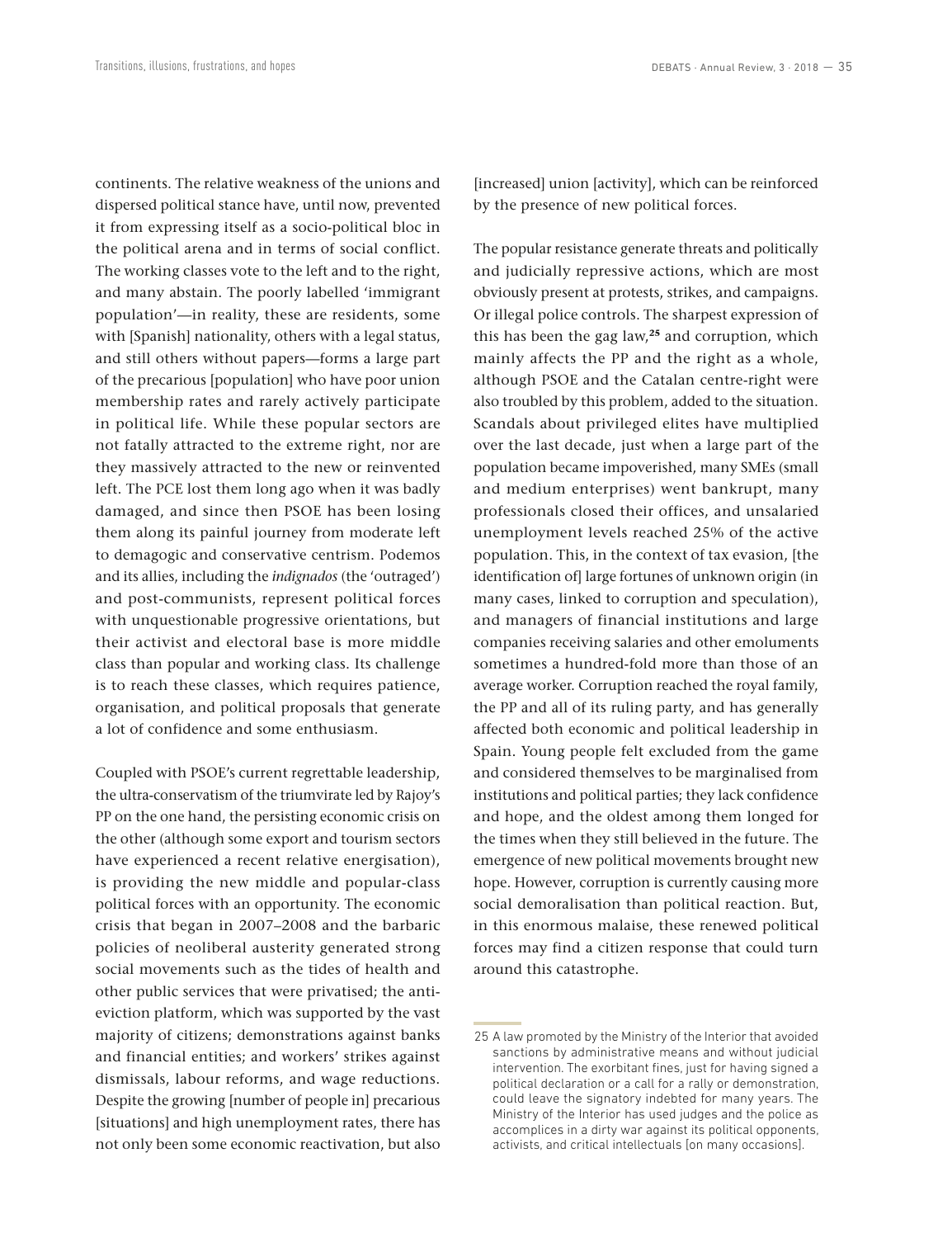continents. The relative weakness of the unions and dispersed political stance have, until now, prevented it from expressing itself as a socio-political bloc in the political arena and in terms of social conflict. The working classes vote to the left and to the right, and many abstain. The poorly labelled 'immigrant population'—in reality, these are residents, some with [Spanish] nationality, others with a legal status, and still others without papers—forms a large part of the precarious [population] who have poor union membership rates and rarely actively participate in political life. While these popular sectors are not fatally attracted to the extreme right, nor are they massively attracted to the new or reinvented left. The PCE lost them long ago when it was badly damaged, and since then PSOE has been losing them along its painful journey from moderate left to demagogic and conservative centrism. Podemos and its allies, including the *indignados* (the 'outraged') and post-communists, represent political forces with unquestionable progressive orientations, but their activist and electoral base is more middle class than popular and working class. Its challenge is to reach these classes, which requires patience, organisation, and political proposals that generate a lot of confidence and some enthusiasm.

Coupled with PSOE's current regrettable leadership, the ultra-conservatism of the triumvirate led by Rajoy's PP on the one hand, the persisting economic crisis on the other (although some export and tourism sectors have experienced a recent relative energisation), is providing the new middle and popular-class political forces with an opportunity. The economic crisis that began in 2007–2008 and the barbaric policies of neoliberal austerity generated strong social movements such as the tides of health and other public services that were privatised; the antieviction platform, which was supported by the vast majority of citizens; demonstrations against banks and financial entities; and workers' strikes against dismissals, labour reforms, and wage reductions. Despite the growing [number of people in] precarious [situations] and high unemployment rates, there has not only been some economic reactivation, but also

[increased] union [activity], which can be reinforced by the presence of new political forces.

The popular resistance generate threats and politically and judicially repressive actions, which are most obviously present at protests, strikes, and campaigns. Or illegal police controls. The sharpest expression of this has been the gag law,**<sup>25</sup>** and corruption, which mainly affects the PP and the right as a whole, although PSOE and the Catalan centre-right were also troubled by this problem, added to the situation. Scandals about privileged elites have multiplied over the last decade, just when a large part of the population became impoverished, many SMEs (small and medium enterprises) went bankrupt, many professionals closed their offices, and unsalaried unemployment levels reached 25% of the active population. This, in the context of tax evasion, [the identification of large fortunes of unknown origin (in many cases, linked to corruption and speculation), and managers of financial institutions and large companies receiving salaries and other emoluments sometimes a hundred-fold more than those of an average worker. Corruption reached the royal family, the PP and all of its ruling party, and has generally affected both economic and political leadership in Spain. Young people felt excluded from the game and considered themselves to be marginalised from institutions and political parties; they lack confidence and hope, and the oldest among them longed for the times when they still believed in the future. The emergence of new political movements brought new hope. However, corruption is currently causing more social demoralisation than political reaction. But, in this enormous malaise, these renewed political forces may find a citizen response that could turn around this catastrophe.

<sup>25</sup> A law promoted by the Ministry of the Interior that avoided sanctions by administrative means and without judicial intervention. The exorbitant fines, just for having signed a political declaration or a call for a rally or demonstration, could leave the signatory indebted for many years. The Ministry of the Interior has used judges and the police as accomplices in a dirty war against its political opponents, activists, and critical intellectuals [on many occasions].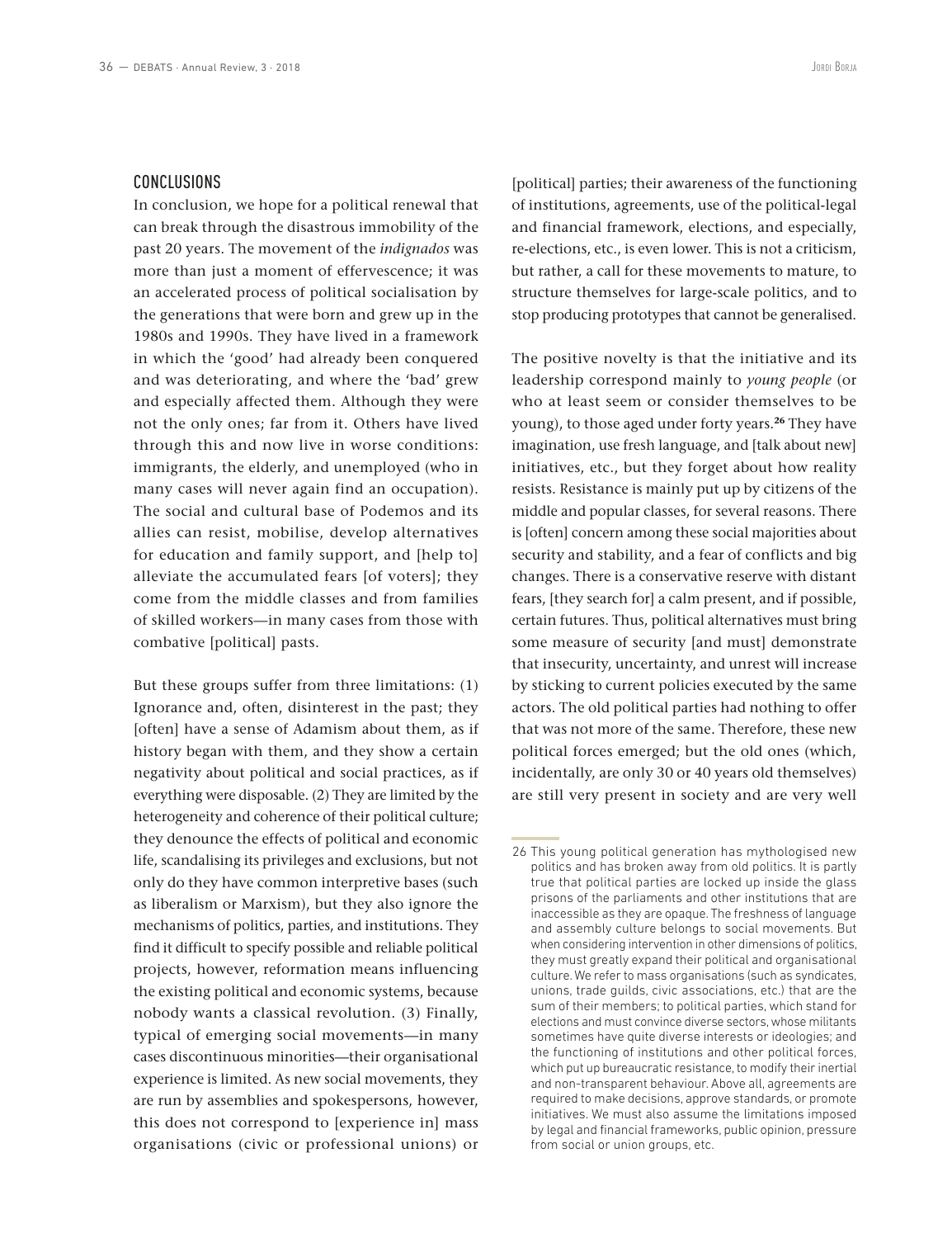#### CONCLUSIONS

In conclusion, we hope for a political renewal that can break through the disastrous immobility of the past 20 years. The movement of the *indignados* was more than just a moment of effervescence; it was an accelerated process of political socialisation by the generations that were born and grew up in the 1980s and 1990s. They have lived in a framework in which the 'good' had already been conquered and was deteriorating, and where the 'bad' grew and especially affected them. Although they were not the only ones; far from it. Others have lived through this and now live in worse conditions: immigrants, the elderly, and unemployed (who in many cases will never again find an occupation). The social and cultural base of Podemos and its allies can resist, mobilise, develop alternatives for education and family support, and [help to] alleviate the accumulated fears [of voters]; they come from the middle classes and from families of skilled workers—in many cases from those with combative [political] pasts.

But these groups suffer from three limitations: (1) Ignorance and, often, disinterest in the past; they [often] have a sense of Adamism about them, as if history began with them, and they show a certain negativity about political and social practices, as if everything were disposable. (2) They are limited by the heterogeneity and coherence of their political culture; they denounce the effects of political and economic life, scandalising its privileges and exclusions, but not only do they have common interpretive bases (such as liberalism or Marxism), but they also ignore the mechanisms of politics, parties, and institutions. They find it difficult to specify possible and reliable political projects, however, reformation means influencing the existing political and economic systems, because nobody wants a classical revolution. (3) Finally, typical of emerging social movements—in many cases discontinuous minorities—their organisational experience is limited. As new social movements, they are run by assemblies and spokespersons, however, this does not correspond to [experience in] mass organisations (civic or professional unions) or

[political] parties; their awareness of the functioning of institutions, agreements, use of the political-legal and financial framework, elections, and especially, re-elections, etc., is even lower. This is not a criticism, but rather, a call for these movements to mature, to structure themselves for large-scale politics, and to stop producing prototypes that cannot be generalised.

The positive novelty is that the initiative and its leadership correspond mainly to *young people* (or who at least seem or consider themselves to be young), to those aged under forty years.**<sup>26</sup>** They have imagination, use fresh language, and [talk about new] initiatives, etc., but they forget about how reality resists. Resistance is mainly put up by citizens of the middle and popular classes, for several reasons. There is [often] concern among these social majorities about security and stability, and a fear of conflicts and big changes. There is a conservative reserve with distant fears, [they search for] a calm present, and if possible, certain futures. Thus, political alternatives must bring some measure of security [and must] demonstrate that insecurity, uncertainty, and unrest will increase by sticking to current policies executed by the same actors. The old political parties had nothing to offer that was not more of the same. Therefore, these new political forces emerged; but the old ones (which, incidentally, are only 30 or 40 years old themselves) are still very present in society and are very well

<sup>26</sup> This young political generation has mythologised new politics and has broken away from old politics. It is partly true that political parties are locked up inside the glass prisons of the parliaments and other institutions that are inaccessible as they are opaque. The freshness of language and assembly culture belongs to social movements. But when considering intervention in other dimensions of politics, they must greatly expand their political and organisational culture. We refer to mass organisations (such as syndicates, unions, trade guilds, civic associations, etc.) that are the sum of their members; to political parties, which stand for elections and must convince diverse sectors, whose militants sometimes have quite diverse interests or ideologies; and the functioning of institutions and other political forces, which put up bureaucratic resistance, to modify their inertial and non-transparent behaviour. Above all, agreements are required to make decisions, approve standards, or promote initiatives. We must also assume the limitations imposed by legal and financial frameworks, public opinion, pressure from social or union groups, etc.